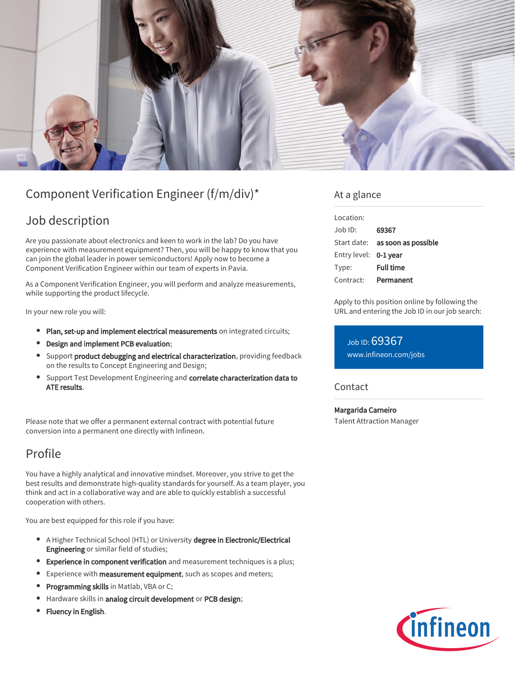

# Component Verification Engineer (f/m/div)\*

## Job description

Are you passionate about electronics and keen to work in the lab? Do you have experience with measurement equipment? Then, you will be happy to know that you can join the global leader in power semiconductors! Apply now to become a Component Verification Engineer within our team of experts in Pavia.

As a Component Verification Engineer, you will perform and analyze measurements, while supporting the product lifecycle.

In your new role you will:

- Plan, set-up and implement electrical measurements on integrated circuits;
- Design and implement PCB evaluation;
- **Support product debugging and electrical characterization**, providing feedback on the results to Concept Engineering and Design;
- Support Test Development Engineering and correlate characterization data to ATE results.

Please note that we offer a permanent external contract with potential future conversion into a permanent one directly with Infineon.

## Profile

You have a highly analytical and innovative mindset. Moreover, you strive to get the best results and demonstrate high-quality standards for yourself. As a team player, you think and act in a collaborative way and are able to quickly establish a successful cooperation with others.

You are best equipped for this role if you have:

- A Higher Technical School (HTL) or University degree in Electronic/Electrical Engineering or similar field of studies;
- Experience in component verification and measurement techniques is a plus;
- Experience with **measurement equipment**, such as scopes and meters;  $\bullet$
- Programming skills in Matlab, VBA or C;  $\bullet$
- Hardware skills in analog circuit development or PCB design;
- Fluency in English.

### At a glance

| Location:             |                                        |
|-----------------------|----------------------------------------|
| Job ID:               | 69367                                  |
|                       | Start date: <b>as soon as possible</b> |
| Entry level: 0-1 year |                                        |
| Type:                 | <b>Full time</b>                       |
| Contract:             | Permanent                              |

Apply to this position online by following the URL and entering the Job ID in our job search:

Job ID: 69367 [www.infineon.com/jobs](https://www.infineon.com/jobs)

Contact

Margarida Carneiro Talent Attraction Manager